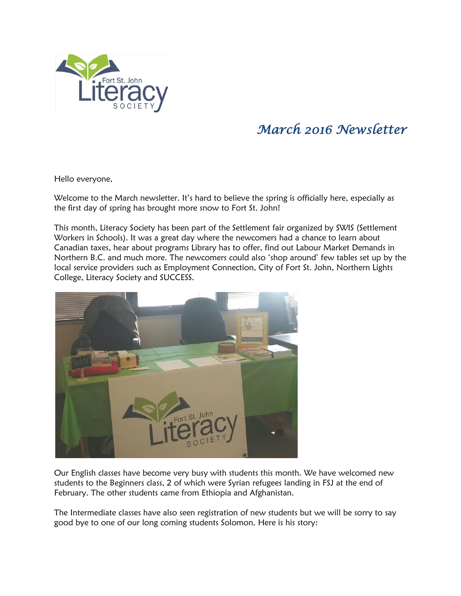

## *March 2016 Newsletter*

Hello everyone,

Welcome to the March newsletter. It's hard to believe the spring is officially here, especially as the first day of spring has brought more snow to Fort St. John!

This month, Literacy Society has been part of the Settlement fair organized by SWIS (Settlement Workers in Schools). It was a great day where the newcomers had a chance to learn about Canadian taxes, hear about programs Library has to offer, find out Labour Market Demands in Northern B.C. and much more. The newcomers could also 'shop around' few tables set up by the local service providers such as Employment Connection, City of Fort St. John, Northern Lights College, Literacy Society and SUCCESS.



Our English classes have become very busy with students this month. We have welcomed new students to the Beginners class, 2 of which were Syrian refugees landing in FSJ at the end of February. The other students came from Ethiopia and Afghanistan.

The Intermediate classes have also seen registration of new students but we will be sorry to say good bye to one of our long coming students Solomon. Here is his story: